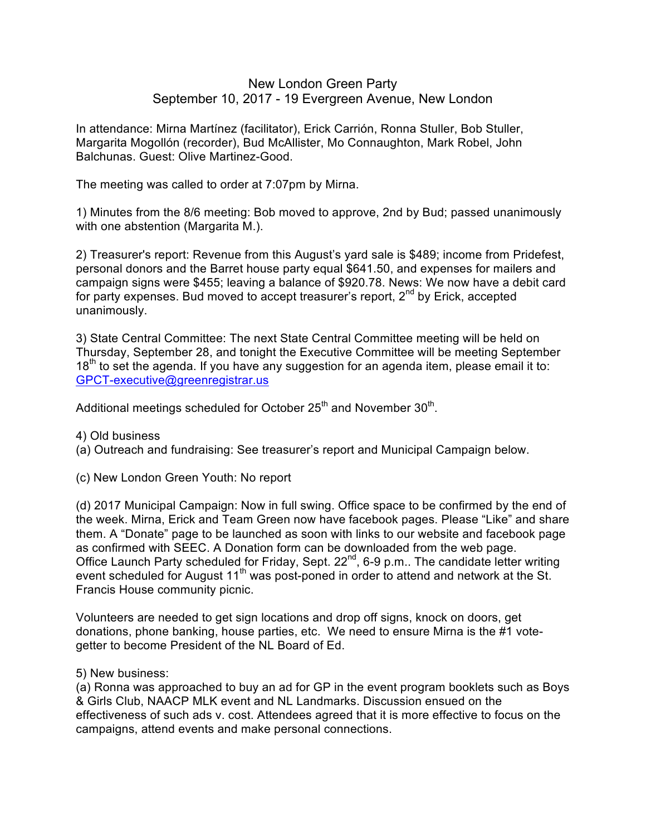## New London Green Party September 10, 2017 - 19 Evergreen Avenue, New London

In attendance: Mirna Martínez (facilitator), Erick Carrión, Ronna Stuller, Bob Stuller, Margarita Mogollón (recorder), Bud McAllister, Mo Connaughton, Mark Robel, John Balchunas. Guest: Olive Martinez-Good.

The meeting was called to order at 7:07pm by Mirna.

1) Minutes from the 8/6 meeting: Bob moved to approve, 2nd by Bud; passed unanimously with one abstention (Margarita M.).

2) Treasurer's report: Revenue from this August's yard sale is \$489; income from Pridefest, personal donors and the Barret house party equal \$641.50, and expenses for mailers and campaign signs were \$455; leaving a balance of \$920.78. News: We now have a debit card for party expenses. Bud moved to accept treasurer's report,  $2<sup>nd</sup>$  by Erick, accepted unanimously.

3) State Central Committee: The next State Central Committee meeting will be held on Thursday, September 28, and tonight the Executive Committee will be meeting September  $18<sup>th</sup>$  to set the agenda. If you have any suggestion for an agenda item, please email it to: GPCT-executive@greenregistrar.us

Additional meetings scheduled for October  $25<sup>th</sup>$  and November  $30<sup>th</sup>$ .

4) Old business

(a) Outreach and fundraising: See treasurer's report and Municipal Campaign below.

(c) New London Green Youth: No report

(d) 2017 Municipal Campaign: Now in full swing. Office space to be confirmed by the end of the week. Mirna, Erick and Team Green now have facebook pages. Please "Like" and share them. A "Donate" page to be launched as soon with links to our website and facebook page as confirmed with SEEC. A Donation form can be downloaded from the web page. Office Launch Party scheduled for Friday, Sept. 22<sup>nd</sup>, 6-9 p.m.. The candidate letter writing event scheduled for August 11<sup>th</sup> was post-poned in order to attend and network at the St. Francis House community picnic.

Volunteers are needed to get sign locations and drop off signs, knock on doors, get donations, phone banking, house parties, etc. We need to ensure Mirna is the #1 votegetter to become President of the NL Board of Ed.

5) New business:

(a) Ronna was approached to buy an ad for GP in the event program booklets such as Boys & Girls Club, NAACP MLK event and NL Landmarks. Discussion ensued on the effectiveness of such ads v. cost. Attendees agreed that it is more effective to focus on the campaigns, attend events and make personal connections.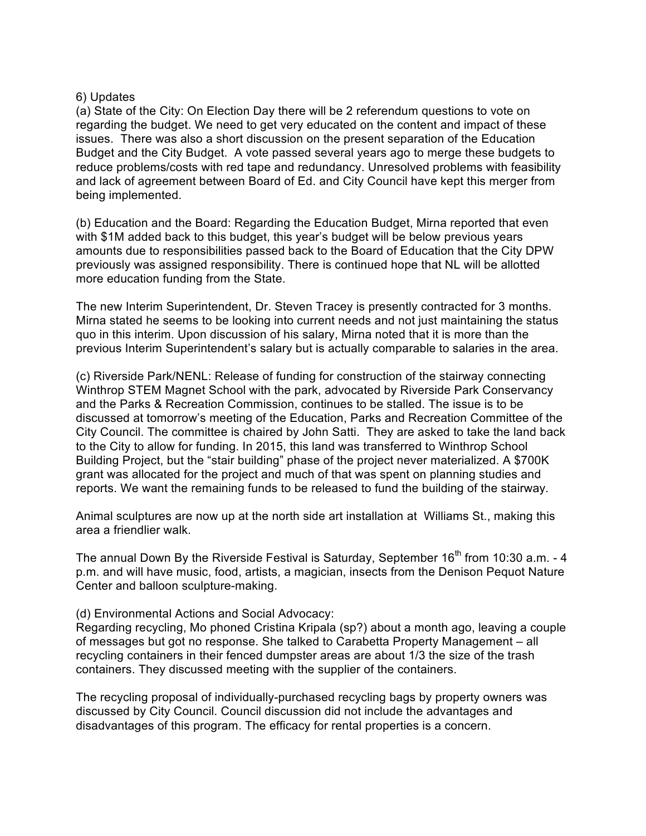## 6) Updates

(a) State of the City: On Election Day there will be 2 referendum questions to vote on regarding the budget. We need to get very educated on the content and impact of these issues. There was also a short discussion on the present separation of the Education Budget and the City Budget. A vote passed several years ago to merge these budgets to reduce problems/costs with red tape and redundancy. Unresolved problems with feasibility and lack of agreement between Board of Ed. and City Council have kept this merger from being implemented.

(b) Education and the Board: Regarding the Education Budget, Mirna reported that even with \$1M added back to this budget, this year's budget will be below previous years amounts due to responsibilities passed back to the Board of Education that the City DPW previously was assigned responsibility. There is continued hope that NL will be allotted more education funding from the State.

The new Interim Superintendent, Dr. Steven Tracey is presently contracted for 3 months. Mirna stated he seems to be looking into current needs and not just maintaining the status quo in this interim. Upon discussion of his salary, Mirna noted that it is more than the previous Interim Superintendent's salary but is actually comparable to salaries in the area.

(c) Riverside Park/NENL: Release of funding for construction of the stairway connecting Winthrop STEM Magnet School with the park, advocated by Riverside Park Conservancy and the Parks & Recreation Commission, continues to be stalled. The issue is to be discussed at tomorrow's meeting of the Education, Parks and Recreation Committee of the City Council. The committee is chaired by John Satti. They are asked to take the land back to the City to allow for funding. In 2015, this land was transferred to Winthrop School Building Project, but the "stair building" phase of the project never materialized. A \$700K grant was allocated for the project and much of that was spent on planning studies and reports. We want the remaining funds to be released to fund the building of the stairway.

Animal sculptures are now up at the north side art installation at Williams St., making this area a friendlier walk.

The annual Down By the Riverside Festival is Saturday, September  $16<sup>th</sup>$  from 10:30 a.m. - 4 p.m. and will have music, food, artists, a magician, insects from the Denison Pequot Nature Center and balloon sculpture-making.

## (d) Environmental Actions and Social Advocacy:

Regarding recycling, Mo phoned Cristina Kripala (sp?) about a month ago, leaving a couple of messages but got no response. She talked to Carabetta Property Management – all recycling containers in their fenced dumpster areas are about 1/3 the size of the trash containers. They discussed meeting with the supplier of the containers.

The recycling proposal of individually-purchased recycling bags by property owners was discussed by City Council. Council discussion did not include the advantages and disadvantages of this program. The efficacy for rental properties is a concern.